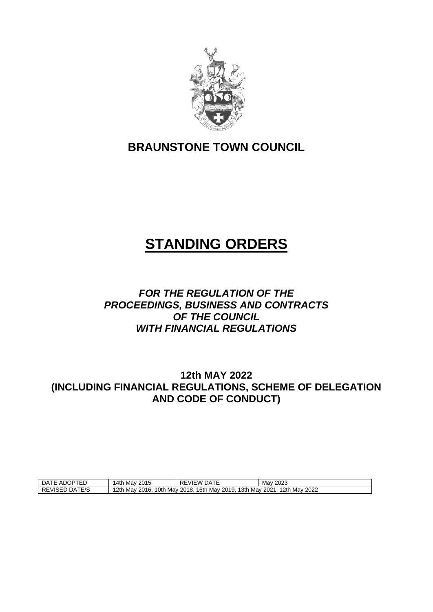

# **BRAUNSTONE TOWN COUNCIL**

# **STANDING ORDERS**

### *FOR THE REGULATION OF THE PROCEEDINGS, BUSINESS AND CONTRACTS OF THE COUNCIL WITH FINANCIAL REGULATIONS*

**12th MAY 2022 (INCLUDING FINANCIAL REGULATIONS, SCHEME OF DELEGATION AND CODE OF CONDUCT)**

| $- - -$<br>−4ر<br>- ⊢<br>ື<br><u>д</u><br>∊∊<br>∼<br>~ | 2015<br>،4th<br>Mav                     | $\sim$ $\sim$ $\sim$<br>VIEW<br>JA.<br>╲∟    | 2023<br>Mav                            |
|--------------------------------------------------------|-----------------------------------------|----------------------------------------------|----------------------------------------|
| ATF/2<br><b>RE</b><br>∙viSEL<br>٩ر<br>$-1$<br>– ⁄ ⊂    | 12th<br>'Oth<br>2016.<br>Mav<br>. Mav ⊺ | 16th<br>l 3th<br>Mav<br>2018.<br>2019<br>Mav | 2 <sup>th</sup><br>2022<br>May<br>2021 |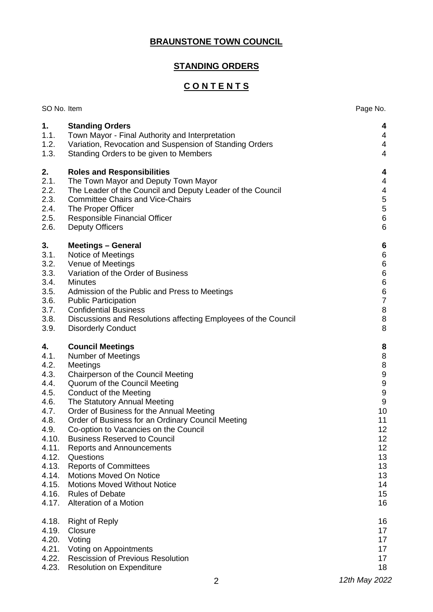### **BRAUNSTONE TOWN COUNCIL**

### **STANDING ORDERS**

### **C O N T E N T S**

| SO No. Item                                                                |                                                                                                                                                                                                                                                                                                                                             | Page No.                                                                                                                         |
|----------------------------------------------------------------------------|---------------------------------------------------------------------------------------------------------------------------------------------------------------------------------------------------------------------------------------------------------------------------------------------------------------------------------------------|----------------------------------------------------------------------------------------------------------------------------------|
| 1.                                                                         | <b>Standing Orders</b>                                                                                                                                                                                                                                                                                                                      | 4                                                                                                                                |
| 1.1.                                                                       | Town Mayor - Final Authority and Interpretation                                                                                                                                                                                                                                                                                             | 4                                                                                                                                |
| 1.2.                                                                       | Variation, Revocation and Suspension of Standing Orders                                                                                                                                                                                                                                                                                     | $\overline{\mathbf{4}}$                                                                                                          |
| 1.3.                                                                       | Standing Orders to be given to Members                                                                                                                                                                                                                                                                                                      | $\overline{\mathcal{A}}$                                                                                                         |
| 2.                                                                         | <b>Roles and Responsibilities</b>                                                                                                                                                                                                                                                                                                           | 4                                                                                                                                |
| 2.1.                                                                       | The Town Mayor and Deputy Town Mayor                                                                                                                                                                                                                                                                                                        | 4                                                                                                                                |
| 2.2.                                                                       | The Leader of the Council and Deputy Leader of the Council                                                                                                                                                                                                                                                                                  | $\overline{\mathcal{A}}$                                                                                                         |
| 2.3.                                                                       | <b>Committee Chairs and Vice-Chairs</b>                                                                                                                                                                                                                                                                                                     | $\sqrt{5}$                                                                                                                       |
| 2.4.                                                                       | The Proper Officer                                                                                                                                                                                                                                                                                                                          | $\mathbf 5$                                                                                                                      |
| 2.5.                                                                       | Responsible Financial Officer                                                                                                                                                                                                                                                                                                               | $\,6$                                                                                                                            |
| 2.6.                                                                       | <b>Deputy Officers</b>                                                                                                                                                                                                                                                                                                                      | $\,6\,$                                                                                                                          |
| 3.<br>3.1.<br>3.2.<br>3.3.<br>3.4.<br>3.5.<br>3.6.<br>3.7.<br>3.8.<br>3.9. | <b>Meetings - General</b><br>Notice of Meetings<br>Venue of Meetings<br>Variation of the Order of Business<br><b>Minutes</b><br>Admission of the Public and Press to Meetings<br><b>Public Participation</b><br><b>Confidential Business</b><br>Discussions and Resolutions affecting Employees of the Council<br><b>Disorderly Conduct</b> | $\boldsymbol{6}$<br>$\begin{array}{c} 6 \\ 6 \end{array}$<br>$\,6$<br>$\,6$<br>$\,6$<br>$\overline{7}$<br>$\,8\,$<br>$\, 8$<br>8 |
| 4.                                                                         | <b>Council Meetings</b>                                                                                                                                                                                                                                                                                                                     | 8                                                                                                                                |
| 4.1.                                                                       | <b>Number of Meetings</b>                                                                                                                                                                                                                                                                                                                   | 8                                                                                                                                |
| 4.2.                                                                       | Meetings                                                                                                                                                                                                                                                                                                                                    | $\bf 8$                                                                                                                          |
| 4.3.                                                                       | Chairperson of the Council Meeting                                                                                                                                                                                                                                                                                                          | $\boldsymbol{9}$                                                                                                                 |
| 4.4.                                                                       | Quorum of the Council Meeting                                                                                                                                                                                                                                                                                                               | $\boldsymbol{9}$                                                                                                                 |
| 4.5.                                                                       | <b>Conduct of the Meeting</b>                                                                                                                                                                                                                                                                                                               | $\boldsymbol{9}$                                                                                                                 |
| 4.6.                                                                       | The Statutory Annual Meeting                                                                                                                                                                                                                                                                                                                | $\boldsymbol{9}$                                                                                                                 |
| 4.7.                                                                       | Order of Business for the Annual Meeting                                                                                                                                                                                                                                                                                                    | 10                                                                                                                               |
| 4.8.                                                                       | Order of Business for an Ordinary Council Meeting                                                                                                                                                                                                                                                                                           | 11                                                                                                                               |
| 4.9.                                                                       | Co-option to Vacancies on the Council                                                                                                                                                                                                                                                                                                       | 12                                                                                                                               |
| 4.10.                                                                      | <b>Business Reserved to Council</b>                                                                                                                                                                                                                                                                                                         | 12                                                                                                                               |
| 4.11.                                                                      | <b>Reports and Announcements</b>                                                                                                                                                                                                                                                                                                            | 12                                                                                                                               |
| 4.12.                                                                      | Questions                                                                                                                                                                                                                                                                                                                                   | 13                                                                                                                               |
| 4.13.                                                                      | <b>Reports of Committees</b>                                                                                                                                                                                                                                                                                                                | 13                                                                                                                               |
| 4.14.                                                                      | <b>Motions Moved On Notice</b>                                                                                                                                                                                                                                                                                                              | 13                                                                                                                               |
| 4.15.                                                                      | <b>Motions Moved Without Notice</b>                                                                                                                                                                                                                                                                                                         | 14                                                                                                                               |
| 4.16.                                                                      | <b>Rules of Debate</b>                                                                                                                                                                                                                                                                                                                      | 15                                                                                                                               |
| 4.17.                                                                      | Alteration of a Motion                                                                                                                                                                                                                                                                                                                      | 16                                                                                                                               |
| 4.18.                                                                      | <b>Right of Reply</b>                                                                                                                                                                                                                                                                                                                       | 16                                                                                                                               |
| 4.19.                                                                      | Closure                                                                                                                                                                                                                                                                                                                                     | 17                                                                                                                               |
| 4.20.                                                                      | Voting                                                                                                                                                                                                                                                                                                                                      | 17                                                                                                                               |
| 4.21.                                                                      | Voting on Appointments                                                                                                                                                                                                                                                                                                                      | 17                                                                                                                               |
| 4.22.                                                                      | <b>Rescission of Previous Resolution</b>                                                                                                                                                                                                                                                                                                    | 17                                                                                                                               |
| 4.23.                                                                      | <b>Resolution on Expenditure</b>                                                                                                                                                                                                                                                                                                            | 18                                                                                                                               |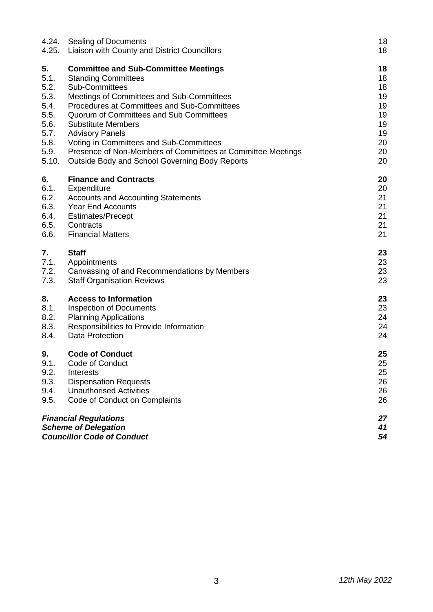| 4.24.<br>4.25. | Sealing of Documents<br>Liaison with County and District Councillors | 18<br>18 |
|----------------|----------------------------------------------------------------------|----------|
| 5.             | <b>Committee and Sub-Committee Meetings</b>                          | 18       |
| 5.1.           | <b>Standing Committees</b>                                           | 18       |
| 5.2.           | <b>Sub-Committees</b>                                                | 18       |
| 5.3.           | Meetings of Committees and Sub-Committees                            | 19       |
| 5.4.           | Procedures at Committees and Sub-Committees                          | 19       |
| 5.5.<br>5.6.   | Quorum of Committees and Sub Committees<br><b>Substitute Members</b> | 19<br>19 |
| 5.7.           | <b>Advisory Panels</b>                                               | 19       |
| 5.8.           | Voting in Committees and Sub-Committees                              | 20       |
| 5.9.           | Presence of Non-Members of Committees at Committee Meetings          | 20       |
| 5.10.          | <b>Outside Body and School Governing Body Reports</b>                | 20       |
| 6.             | <b>Finance and Contracts</b>                                         | 20       |
| 6.1.           | Expenditure                                                          | 20       |
| 6.2.           | <b>Accounts and Accounting Statements</b>                            | 21       |
| 6.3.           | <b>Year End Accounts</b>                                             | 21       |
| 6.4.<br>6.5.   | <b>Estimates/Precept</b><br>Contracts                                | 21<br>21 |
| 6.6.           | <b>Financial Matters</b>                                             | 21       |
| 7.             | <b>Staff</b>                                                         | 23       |
| 7.1.           | Appointments                                                         | 23       |
| 7.2.           | Canvassing of and Recommendations by Members                         | 23       |
| 7.3.           | <b>Staff Organisation Reviews</b>                                    | 23       |
| 8.             | <b>Access to Information</b>                                         | 23       |
| 8.1.           | <b>Inspection of Documents</b>                                       | 23       |
| 8.2.<br>8.3.   | <b>Planning Applications</b>                                         | 24<br>24 |
| 8.4.           | Responsibilities to Provide Information<br><b>Data Protection</b>    | 24       |
| 9.             | <b>Code of Conduct</b>                                               | 25       |
| 9.1.           | Code of Conduct                                                      | 25       |
| 9.2.           | Interests                                                            | 25       |
| 9.3.           | <b>Dispensation Requests</b>                                         | 26       |
| 9.4.           | <b>Unauthorised Activities</b>                                       | 26       |
| 9.5.           | Code of Conduct on Complaints                                        | 26       |
|                | <b>Financial Regulations</b>                                         | 27       |
|                | <b>Scheme of Delegation</b><br><b>Councillor Code of Conduct</b>     | 41       |
|                |                                                                      | 54       |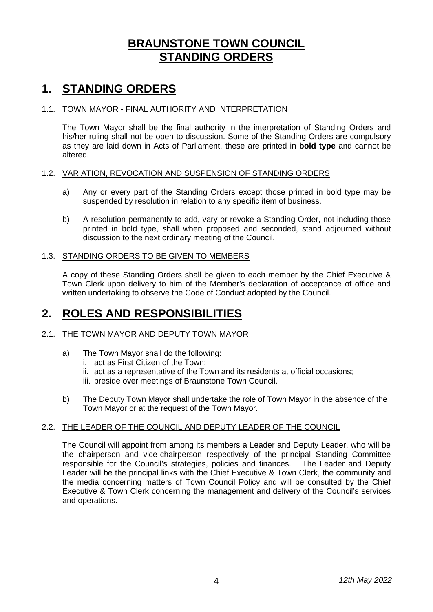### **BRAUNSTONE TOWN COUNCIL STANDING ORDERS**

### **1. STANDING ORDERS**

#### 1.1. TOWN MAYOR - FINAL AUTHORITY AND INTERPRETATION

The Town Mayor shall be the final authority in the interpretation of Standing Orders and his/her ruling shall not be open to discussion. Some of the Standing Orders are compulsory as they are laid down in Acts of Parliament, these are printed in **bold type** and cannot be altered.

#### 1.2. VARIATION, REVOCATION AND SUSPENSION OF STANDING ORDERS

- a) Any or every part of the Standing Orders except those printed in bold type may be suspended by resolution in relation to any specific item of business.
- b) A resolution permanently to add, vary or revoke a Standing Order, not including those printed in bold type, shall when proposed and seconded, stand adjourned without discussion to the next ordinary meeting of the Council.

#### 1.3. STANDING ORDERS TO BE GIVEN TO MEMBERS

A copy of these Standing Orders shall be given to each member by the Chief Executive & Town Clerk upon delivery to him of the Member's declaration of acceptance of office and written undertaking to observe the Code of Conduct adopted by the Council.

### **2. ROLES AND RESPONSIBILITIES**

#### 2.1. THE TOWN MAYOR AND DEPUTY TOWN MAYOR

- a) The Town Mayor shall do the following:
	- i. act as First Citizen of the Town;
	- ii. act as a representative of the Town and its residents at official occasions;
	- iii. preside over meetings of Braunstone Town Council.
- b) The Deputy Town Mayor shall undertake the role of Town Mayor in the absence of the Town Mayor or at the request of the Town Mayor.

#### 2.2. THE LEADER OF THE COUNCIL AND DEPUTY LEADER OF THE COUNCIL

The Council will appoint from among its members a Leader and Deputy Leader, who will be the chairperson and vice-chairperson respectively of the principal Standing Committee responsible for the Council's strategies, policies and finances. The Leader and Deputy Leader will be the principal links with the Chief Executive & Town Clerk, the community and the media concerning matters of Town Council Policy and will be consulted by the Chief Executive & Town Clerk concerning the management and delivery of the Council's services and operations.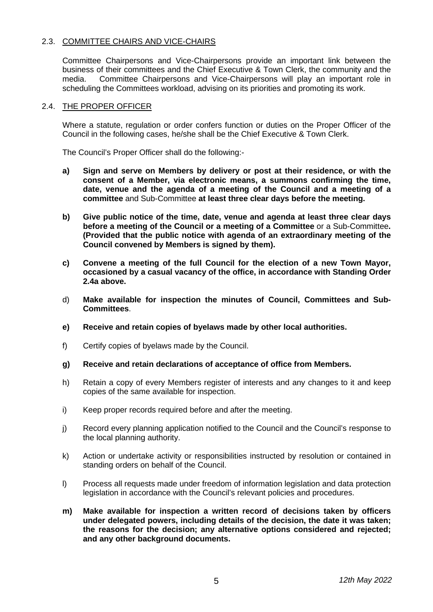#### 2.3. COMMITTEE CHAIRS AND VICE-CHAIRS

Committee Chairpersons and Vice-Chairpersons provide an important link between the business of their committees and the Chief Executive & Town Clerk, the community and the media. Committee Chairpersons and Vice-Chairpersons will play an important role in scheduling the Committees workload, advising on its priorities and promoting its work.

#### 2.4. THE PROPER OFFICER

Where a statute, regulation or order confers function or duties on the Proper Officer of the Council in the following cases, he/she shall be the Chief Executive & Town Clerk.

The Council's Proper Officer shall do the following:-

- **a) Sign and serve on Members by delivery or post at their residence, or with the consent of a Member, via electronic means, a summons confirming the time, date, venue and the agenda of a meeting of the Council and a meeting of a committee** and Sub-Committee **at least three clear days before the meeting.**
- **b) Give public notice of the time, date, venue and agenda at least three clear days before a meeting of the Council or a meeting of a Committee** or a Sub-Committee**. (Provided that the public notice with agenda of an extraordinary meeting of the Council convened by Members is signed by them).**
- **c) Convene a meeting of the full Council for the election of a new Town Mayor, occasioned by a casual vacancy of the office, in accordance with Standing Order 2.4a above.**
- d) **Make available for inspection the minutes of Council, Committees and Sub-Committees**.
- **e) Receive and retain copies of byelaws made by other local authorities.**
- f) Certify copies of byelaws made by the Council.
- **g) Receive and retain declarations of acceptance of office from Members.**
- h) Retain a copy of every Members register of interests and any changes to it and keep copies of the same available for inspection.
- i) Keep proper records required before and after the meeting.
- j) Record every planning application notified to the Council and the Council's response to the local planning authority.
- k) Action or undertake activity or responsibilities instructed by resolution or contained in standing orders on behalf of the Council.
- l) Process all requests made under freedom of information legislation and data protection legislation in accordance with the Council's relevant policies and procedures.
- **m) Make available for inspection a written record of decisions taken by officers under delegated powers, including details of the decision, the date it was taken; the reasons for the decision; any alternative options considered and rejected; and any other background documents.**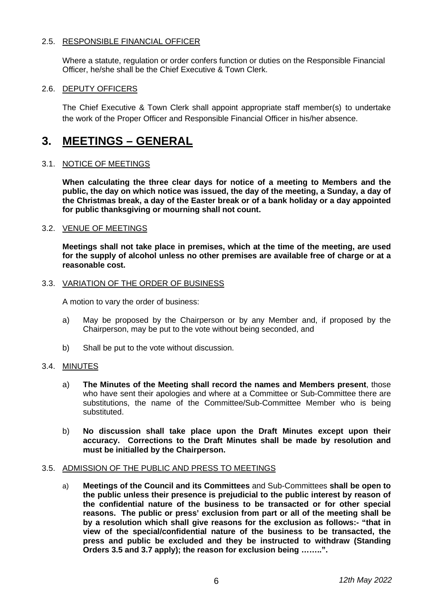#### 2.5. RESPONSIBLE FINANCIAL OFFICER

Where a statute, regulation or order confers function or duties on the Responsible Financial Officer, he/she shall be the Chief Executive & Town Clerk.

#### 2.6. DEPUTY OFFICERS

The Chief Executive & Town Clerk shall appoint appropriate staff member(s) to undertake the work of the Proper Officer and Responsible Financial Officer in his/her absence.

### **3. MEETINGS – GENERAL**

#### 3.1. NOTICE OF MEETINGS

**When calculating the three clear days for notice of a meeting to Members and the public, the day on which notice was issued, the day of the meeting, a Sunday, a day of the Christmas break, a day of the Easter break or of a bank holiday or a day appointed for public thanksgiving or mourning shall not count.** 

#### 3.2. VENUE OF MEETINGS

**Meetings shall not take place in premises, which at the time of the meeting, are used for the supply of alcohol unless no other premises are available free of charge or at a reasonable cost.** 

#### 3.3. VARIATION OF THE ORDER OF BUSINESS

A motion to vary the order of business:

- a) May be proposed by the Chairperson or by any Member and, if proposed by the Chairperson, may be put to the vote without being seconded, and
- b) Shall be put to the vote without discussion.

#### 3.4. MINUTES

- a) **The Minutes of the Meeting shall record the names and Members present**, those who have sent their apologies and where at a Committee or Sub-Committee there are substitutions, the name of the Committee/Sub-Committee Member who is being substituted.
- b) **No discussion shall take place upon the Draft Minutes except upon their accuracy. Corrections to the Draft Minutes shall be made by resolution and must be initialled by the Chairperson.**

#### 3.5. ADMISSION OF THE PUBLIC AND PRESS TO MEETINGS

a) **Meetings of the Council and its Committees** and Sub-Committees **shall be open to the public unless their presence is prejudicial to the public interest by reason of the confidential nature of the business to be transacted or for other special reasons. The public or press' exclusion from part or all of the meeting shall be by a resolution which shall give reasons for the exclusion as follows:- "that in view of the special/confidential nature of the business to be transacted, the press and public be excluded and they be instructed to withdraw (Standing Orders 3.5 and 3.7 apply); the reason for exclusion being ……..".**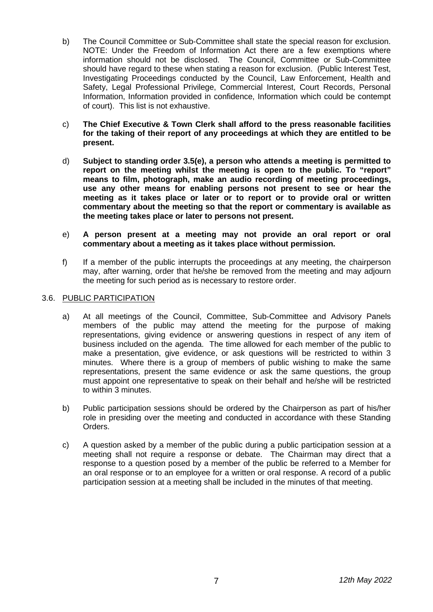- b) The Council Committee or Sub-Committee shall state the special reason for exclusion. NOTE: Under the Freedom of Information Act there are a few exemptions where information should not be disclosed. The Council, Committee or Sub-Committee should have regard to these when stating a reason for exclusion. (Public Interest Test, Investigating Proceedings conducted by the Council, Law Enforcement, Health and Safety, Legal Professional Privilege, Commercial Interest, Court Records, Personal Information, Information provided in confidence, Information which could be contempt of court). This list is not exhaustive.
- c) **The Chief Executive & Town Clerk shall afford to the press reasonable facilities for the taking of their report of any proceedings at which they are entitled to be present.**
- d) **Subject to standing order 3.5(e), a person who attends a meeting is permitted to report on the meeting whilst the meeting is open to the public. To "report" means to film, photograph, make an audio recording of meeting proceedings, use any other means for enabling persons not present to see or hear the meeting as it takes place or later or to report or to provide oral or written commentary about the meeting so that the report or commentary is available as the meeting takes place or later to persons not present.**
- e) **A person present at a meeting may not provide an oral report or oral commentary about a meeting as it takes place without permission.**
- f) If a member of the public interrupts the proceedings at any meeting, the chairperson may, after warning, order that he/she be removed from the meeting and may adjourn the meeting for such period as is necessary to restore order.

#### 3.6. PUBLIC PARTICIPATION

- a) At all meetings of the Council, Committee, Sub-Committee and Advisory Panels members of the public may attend the meeting for the purpose of making representations, giving evidence or answering questions in respect of any item of business included on the agenda. The time allowed for each member of the public to make a presentation, give evidence, or ask questions will be restricted to within 3 minutes. Where there is a group of members of public wishing to make the same representations, present the same evidence or ask the same questions, the group must appoint one representative to speak on their behalf and he/she will be restricted to within 3 minutes.
- b) Public participation sessions should be ordered by the Chairperson as part of his/her role in presiding over the meeting and conducted in accordance with these Standing Orders.
- c) A question asked by a member of the public during a public participation session at a meeting shall not require a response or debate. The Chairman may direct that a response to a question posed by a member of the public be referred to a Member for an oral response or to an employee for a written or oral response. A record of a public participation session at a meeting shall be included in the minutes of that meeting.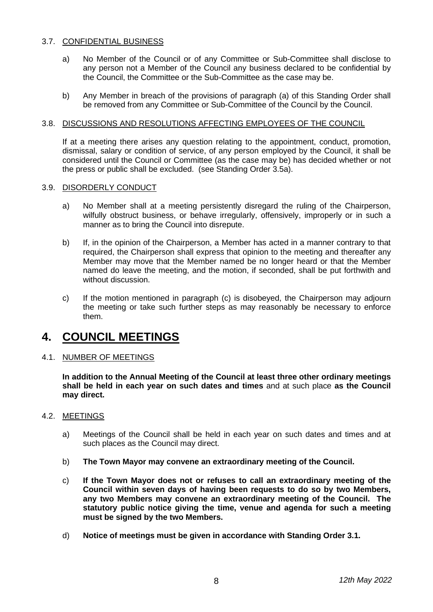#### 3.7. CONFIDENTIAL BUSINESS

- a) No Member of the Council or of any Committee or Sub-Committee shall disclose to any person not a Member of the Council any business declared to be confidential by the Council, the Committee or the Sub-Committee as the case may be.
- b) Any Member in breach of the provisions of paragraph (a) of this Standing Order shall be removed from any Committee or Sub-Committee of the Council by the Council.

#### 3.8. DISCUSSIONS AND RESOLUTIONS AFFECTING EMPLOYEES OF THE COUNCIL

If at a meeting there arises any question relating to the appointment, conduct, promotion, dismissal, salary or condition of service, of any person employed by the Council, it shall be considered until the Council or Committee (as the case may be) has decided whether or not the press or public shall be excluded. (see Standing Order 3.5a).

#### 3.9. DISORDERLY CONDUCT

- a) No Member shall at a meeting persistently disregard the ruling of the Chairperson, wilfully obstruct business, or behave irregularly, offensively, improperly or in such a manner as to bring the Council into disrepute.
- b) If, in the opinion of the Chairperson, a Member has acted in a manner contrary to that required, the Chairperson shall express that opinion to the meeting and thereafter any Member may move that the Member named be no longer heard or that the Member named do leave the meeting, and the motion, if seconded, shall be put forthwith and without discussion.
- c) If the motion mentioned in paragraph (c) is disobeyed, the Chairperson may adjourn the meeting or take such further steps as may reasonably be necessary to enforce them.

### **4. COUNCIL MEETINGS**

#### 4.1. NUMBER OF MEETINGS

**In addition to the Annual Meeting of the Council at least three other ordinary meetings shall be held in each year on such dates and times** and at such place **as the Council may direct.**

#### 4.2. MEETINGS

- a) Meetings of the Council shall be held in each year on such dates and times and at such places as the Council may direct.
- b) **The Town Mayor may convene an extraordinary meeting of the Council.**
- c) **If the Town Mayor does not or refuses to call an extraordinary meeting of the Council within seven days of having been requests to do so by two Members, any two Members may convene an extraordinary meeting of the Council. The statutory public notice giving the time, venue and agenda for such a meeting must be signed by the two Members.**
- d) **Notice of meetings must be given in accordance with Standing Order 3.1.**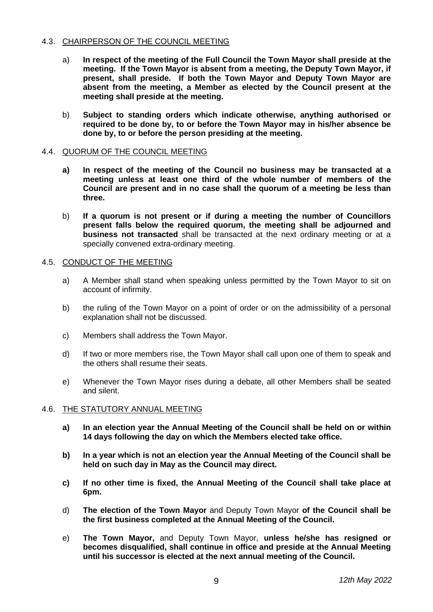#### 4.3. CHAIRPERSON OF THE COUNCIL MEETING

- a) **In respect of the meeting of the Full Council the Town Mayor shall preside at the meeting. If the Town Mayor is absent from a meeting, the Deputy Town Mayor, if present, shall preside. If both the Town Mayor and Deputy Town Mayor are absent from the meeting, a Member as elected by the Council present at the meeting shall preside at the meeting.**
- b) **Subject to standing orders which indicate otherwise, anything authorised or required to be done by, to or before the Town Mayor may in his/her absence be done by, to or before the person presiding at the meeting.**

#### 4.4. QUORUM OF THE COUNCIL MEETING

- **a) In respect of the meeting of the Council no business may be transacted at a meeting unless at least one third of the whole number of members of the Council are present and in no case shall the quorum of a meeting be less than three.**
- b) **If a quorum is not present or if during a meeting the number of Councillors present falls below the required quorum, the meeting shall be adjourned and business not transacted** shall be transacted at the next ordinary meeting or at a specially convened extra-ordinary meeting.

#### 4.5. CONDUCT OF THE MEETING

- a) A Member shall stand when speaking unless permitted by the Town Mayor to sit on account of infirmity.
- b) the ruling of the Town Mayor on a point of order or on the admissibility of a personal explanation shall not be discussed.
- c) Members shall address the Town Mayor.
- d) If two or more members rise, the Town Mayor shall call upon one of them to speak and the others shall resume their seats.
- e) Whenever the Town Mayor rises during a debate, all other Members shall be seated and silent.

#### 4.6. THE STATUTORY ANNUAL MEETING

- **a) In an election year the Annual Meeting of the Council shall be held on or within 14 days following the day on which the Members elected take office.**
- **b) In a year which is not an election year the Annual Meeting of the Council shall be held on such day in May as the Council may direct.**
- **c) If no other time is fixed, the Annual Meeting of the Council shall take place at 6pm.**
- d) **The election of the Town Mayor** and Deputy Town Mayor **of the Council shall be the first business completed at the Annual Meeting of the Council.**
- e) **The Town Mayor,** and Deputy Town Mayor, **unless he/she has resigned or becomes disqualified, shall continue in office and preside at the Annual Meeting until his successor is elected at the next annual meeting of the Council.**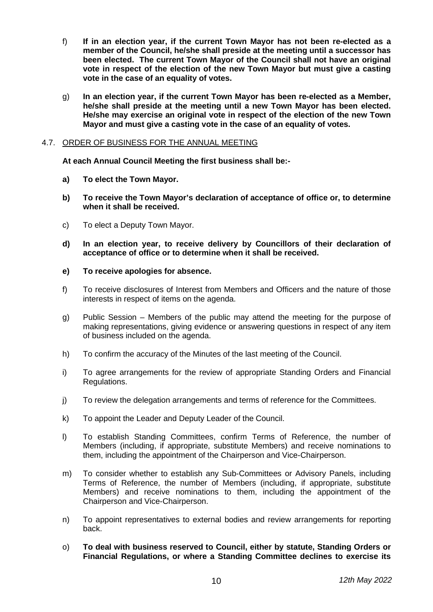- f) **If in an election year, if the current Town Mayor has not been re-elected as a member of the Council, he/she shall preside at the meeting until a successor has been elected. The current Town Mayor of the Council shall not have an original vote in respect of the election of the new Town Mayor but must give a casting vote in the case of an equality of votes.**
- g) **In an election year, if the current Town Mayor has been re-elected as a Member, he/she shall preside at the meeting until a new Town Mayor has been elected. He/she may exercise an original vote in respect of the election of the new Town Mayor and must give a casting vote in the case of an equality of votes.**

#### 4.7. ORDER OF BUSINESS FOR THE ANNUAL MEETING

**At each Annual Council Meeting the first business shall be:-**

- **a) To elect the Town Mayor.**
- **b) To receive the Town Mayor's declaration of acceptance of office or, to determine when it shall be received.**
- c) To elect a Deputy Town Mayor.
- **d) In an election year, to receive delivery by Councillors of their declaration of acceptance of office or to determine when it shall be received.**
- **e) To receive apologies for absence.**
- f) To receive disclosures of Interest from Members and Officers and the nature of those interests in respect of items on the agenda.
- g) Public Session Members of the public may attend the meeting for the purpose of making representations, giving evidence or answering questions in respect of any item of business included on the agenda.
- h) To confirm the accuracy of the Minutes of the last meeting of the Council.
- i) To agree arrangements for the review of appropriate Standing Orders and Financial Regulations.
- j) To review the delegation arrangements and terms of reference for the Committees.
- k) To appoint the Leader and Deputy Leader of the Council.
- l) To establish Standing Committees, confirm Terms of Reference, the number of Members (including, if appropriate, substitute Members) and receive nominations to them, including the appointment of the Chairperson and Vice-Chairperson.
- m) To consider whether to establish any Sub-Committees or Advisory Panels, including Terms of Reference, the number of Members (including, if appropriate, substitute Members) and receive nominations to them, including the appointment of the Chairperson and Vice-Chairperson.
- n) To appoint representatives to external bodies and review arrangements for reporting back.
- o) **To deal with business reserved to Council, either by statute, Standing Orders or Financial Regulations, or where a Standing Committee declines to exercise its**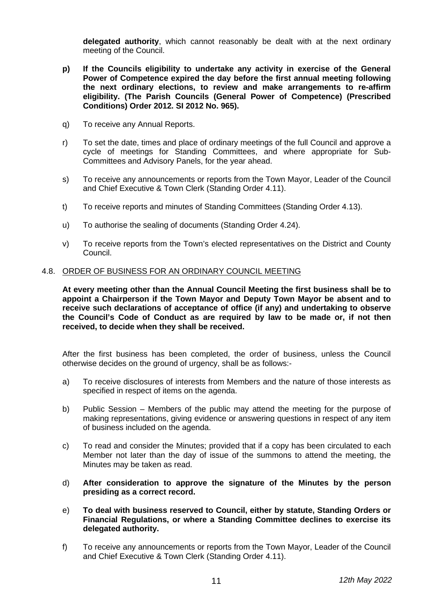**delegated authority**, which cannot reasonably be dealt with at the next ordinary meeting of the Council.

- **p) If the Councils eligibility to undertake any activity in exercise of the General Power of Competence expired the day before the first annual meeting following the next ordinary elections, to review and make arrangements to re-affirm eligibility. (The Parish Councils (General Power of Competence) (Prescribed Conditions) Order 2012. SI 2012 No. 965).**
- q) To receive any Annual Reports.
- r) To set the date, times and place of ordinary meetings of the full Council and approve a cycle of meetings for Standing Committees, and where appropriate for Sub-Committees and Advisory Panels, for the year ahead.
- s) To receive any announcements or reports from the Town Mayor, Leader of the Council and Chief Executive & Town Clerk (Standing Order 4.11).
- t) To receive reports and minutes of Standing Committees (Standing Order 4.13).
- u) To authorise the sealing of documents (Standing Order 4.24).
- v) To receive reports from the Town's elected representatives on the District and County Council.

#### 4.8. ORDER OF BUSINESS FOR AN ORDINARY COUNCIL MEETING

**At every meeting other than the Annual Council Meeting the first business shall be to appoint a Chairperson if the Town Mayor and Deputy Town Mayor be absent and to receive such declarations of acceptance of office (if any) and undertaking to observe the Council's Code of Conduct as are required by law to be made or, if not then received, to decide when they shall be received.**

After the first business has been completed, the order of business, unless the Council otherwise decides on the ground of urgency, shall be as follows:-

- a) To receive disclosures of interests from Members and the nature of those interests as specified in respect of items on the agenda.
- b) Public Session Members of the public may attend the meeting for the purpose of making representations, giving evidence or answering questions in respect of any item of business included on the agenda.
- c) To read and consider the Minutes; provided that if a copy has been circulated to each Member not later than the day of issue of the summons to attend the meeting, the Minutes may be taken as read.
- d) **After consideration to approve the signature of the Minutes by the person presiding as a correct record.**
- e) **To deal with business reserved to Council, either by statute, Standing Orders or Financial Regulations, or where a Standing Committee declines to exercise its delegated authority.**
- f) To receive any announcements or reports from the Town Mayor, Leader of the Council and Chief Executive & Town Clerk (Standing Order 4.11).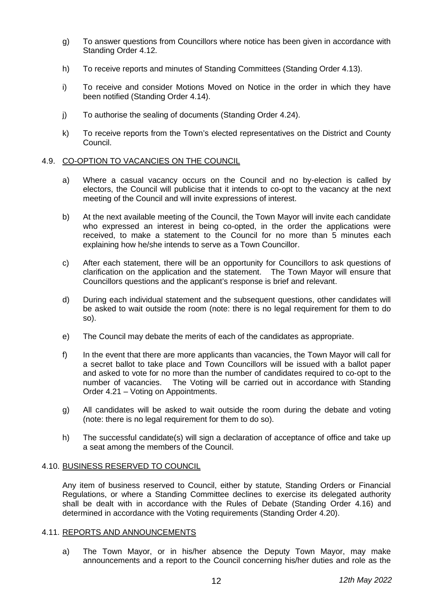- g) To answer questions from Councillors where notice has been given in accordance with Standing Order 4.12.
- h) To receive reports and minutes of Standing Committees (Standing Order 4.13).
- i) To receive and consider Motions Moved on Notice in the order in which they have been notified (Standing Order 4.14).
- j) To authorise the sealing of documents (Standing Order 4.24).
- k) To receive reports from the Town's elected representatives on the District and County Council.

#### 4.9. CO-OPTION TO VACANCIES ON THE COUNCIL

- a) Where a casual vacancy occurs on the Council and no by-election is called by electors, the Council will publicise that it intends to co-opt to the vacancy at the next meeting of the Council and will invite expressions of interest.
- b) At the next available meeting of the Council, the Town Mayor will invite each candidate who expressed an interest in being co-opted, in the order the applications were received, to make a statement to the Council for no more than 5 minutes each explaining how he/she intends to serve as a Town Councillor.
- c) After each statement, there will be an opportunity for Councillors to ask questions of clarification on the application and the statement. The Town Mayor will ensure that Councillors questions and the applicant's response is brief and relevant.
- d) During each individual statement and the subsequent questions, other candidates will be asked to wait outside the room (note: there is no legal requirement for them to do so).
- e) The Council may debate the merits of each of the candidates as appropriate.
- f) In the event that there are more applicants than vacancies, the Town Mayor will call for a secret ballot to take place and Town Councillors will be issued with a ballot paper and asked to vote for no more than the number of candidates required to co-opt to the number of vacancies. The Voting will be carried out in accordance with Standing Order 4.21 – Voting on Appointments.
- g) All candidates will be asked to wait outside the room during the debate and voting (note: there is no legal requirement for them to do so).
- h) The successful candidate(s) will sign a declaration of acceptance of office and take up a seat among the members of the Council.

#### 4.10. BUSINESS RESERVED TO COUNCIL

Any item of business reserved to Council, either by statute, Standing Orders or Financial Regulations, or where a Standing Committee declines to exercise its delegated authority shall be dealt with in accordance with the Rules of Debate (Standing Order 4.16) and determined in accordance with the Voting requirements (Standing Order 4.20).

#### 4.11. REPORTS AND ANNOUNCEMENTS

a) The Town Mayor, or in his/her absence the Deputy Town Mayor, may make announcements and a report to the Council concerning his/her duties and role as the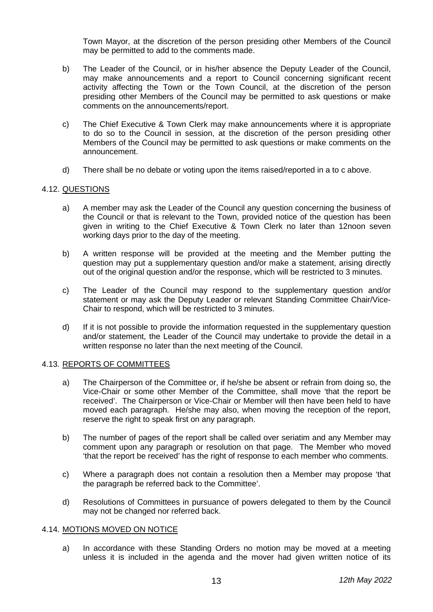Town Mayor, at the discretion of the person presiding other Members of the Council may be permitted to add to the comments made.

- b) The Leader of the Council, or in his/her absence the Deputy Leader of the Council, may make announcements and a report to Council concerning significant recent activity affecting the Town or the Town Council, at the discretion of the person presiding other Members of the Council may be permitted to ask questions or make comments on the announcements/report.
- c) The Chief Executive & Town Clerk may make announcements where it is appropriate to do so to the Council in session, at the discretion of the person presiding other Members of the Council may be permitted to ask questions or make comments on the announcement.
- d) There shall be no debate or voting upon the items raised/reported in a to c above.

#### 4.12. QUESTIONS

- a) A member may ask the Leader of the Council any question concerning the business of the Council or that is relevant to the Town, provided notice of the question has been given in writing to the Chief Executive & Town Clerk no later than 12noon seven working days prior to the day of the meeting.
- b) A written response will be provided at the meeting and the Member putting the question may put a supplementary question and/or make a statement, arising directly out of the original question and/or the response, which will be restricted to 3 minutes.
- c) The Leader of the Council may respond to the supplementary question and/or statement or may ask the Deputy Leader or relevant Standing Committee Chair/Vice-Chair to respond, which will be restricted to 3 minutes.
- d) If it is not possible to provide the information requested in the supplementary question and/or statement, the Leader of the Council may undertake to provide the detail in a written response no later than the next meeting of the Council.

#### 4.13. REPORTS OF COMMITTEES

- a) The Chairperson of the Committee or, if he/she be absent or refrain from doing so, the Vice-Chair or some other Member of the Committee, shall move 'that the report be received'. The Chairperson or Vice-Chair or Member will then have been held to have moved each paragraph. He/she may also, when moving the reception of the report, reserve the right to speak first on any paragraph.
- b) The number of pages of the report shall be called over seriatim and any Member may comment upon any paragraph or resolution on that page. The Member who moved 'that the report be received' has the right of response to each member who comments.
- c) Where a paragraph does not contain a resolution then a Member may propose 'that the paragraph be referred back to the Committee'.
- d) Resolutions of Committees in pursuance of powers delegated to them by the Council may not be changed nor referred back.

#### 4.14. MOTIONS MOVED ON NOTICE

a) In accordance with these Standing Orders no motion may be moved at a meeting unless it is included in the agenda and the mover had given written notice of its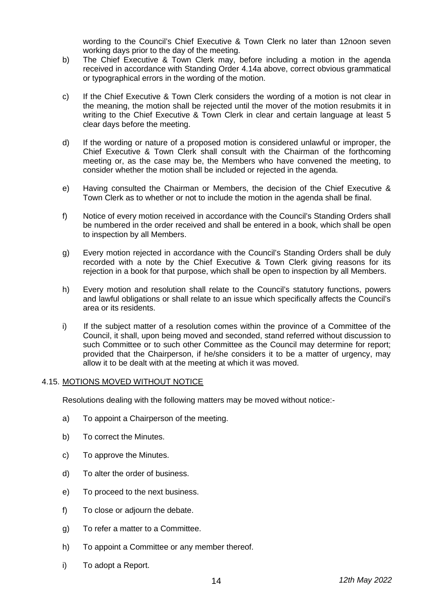wording to the Council's Chief Executive & Town Clerk no later than 12noon seven working days prior to the day of the meeting.

- b) The Chief Executive & Town Clerk may, before including a motion in the agenda received in accordance with Standing Order 4.14a above, correct obvious grammatical or typographical errors in the wording of the motion.
- c) If the Chief Executive & Town Clerk considers the wording of a motion is not clear in the meaning, the motion shall be rejected until the mover of the motion resubmits it in writing to the Chief Executive & Town Clerk in clear and certain language at least 5 clear days before the meeting.
- d) If the wording or nature of a proposed motion is considered unlawful or improper, the Chief Executive & Town Clerk shall consult with the Chairman of the forthcoming meeting or, as the case may be, the Members who have convened the meeting, to consider whether the motion shall be included or rejected in the agenda.
- e) Having consulted the Chairman or Members, the decision of the Chief Executive & Town Clerk as to whether or not to include the motion in the agenda shall be final.
- f) Notice of every motion received in accordance with the Council's Standing Orders shall be numbered in the order received and shall be entered in a book, which shall be open to inspection by all Members.
- g) Every motion rejected in accordance with the Council's Standing Orders shall be duly recorded with a note by the Chief Executive & Town Clerk giving reasons for its rejection in a book for that purpose, which shall be open to inspection by all Members.
- h) Every motion and resolution shall relate to the Council's statutory functions, powers and lawful obligations or shall relate to an issue which specifically affects the Council's area or its residents.
- i) If the subject matter of a resolution comes within the province of a Committee of the Council, it shall, upon being moved and seconded, stand referred without discussion to such Committee or to such other Committee as the Council may determine for report; provided that the Chairperson, if he/she considers it to be a matter of urgency, may allow it to be dealt with at the meeting at which it was moved.

#### 4.15. MOTIONS MOVED WITHOUT NOTICE

Resolutions dealing with the following matters may be moved without notice:-

- a) To appoint a Chairperson of the meeting.
- b) To correct the Minutes.
- c) To approve the Minutes.
- d) To alter the order of business.
- e) To proceed to the next business.
- f) To close or adjourn the debate.
- g) To refer a matter to a Committee.
- h) To appoint a Committee or any member thereof.
- i) To adopt a Report.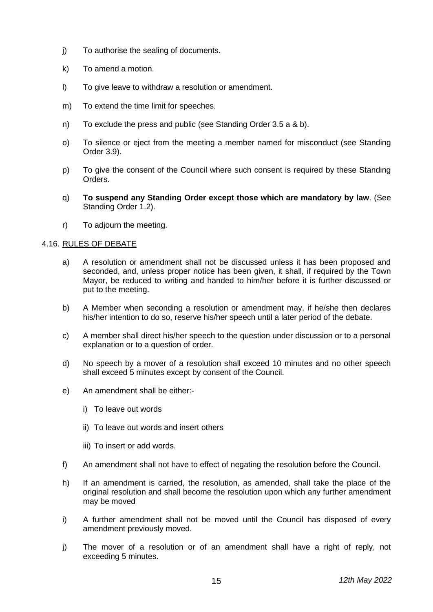- j) To authorise the sealing of documents.
- k) To amend a motion.
- l) To give leave to withdraw a resolution or amendment.
- m) To extend the time limit for speeches.
- n) To exclude the press and public (see Standing Order 3.5 a & b).
- o) To silence or eject from the meeting a member named for misconduct (see Standing Order 3.9).
- p) To give the consent of the Council where such consent is required by these Standing Orders.
- q) **To suspend any Standing Order except those which are mandatory by law**. (See Standing Order 1.2).
- r) To adjourn the meeting.

#### 4.16. RULES OF DEBATE

- a) A resolution or amendment shall not be discussed unless it has been proposed and seconded, and, unless proper notice has been given, it shall, if required by the Town Mayor, be reduced to writing and handed to him/her before it is further discussed or put to the meeting.
- b) A Member when seconding a resolution or amendment may, if he/she then declares his/her intention to do so, reserve his/her speech until a later period of the debate.
- c) A member shall direct his/her speech to the question under discussion or to a personal explanation or to a question of order.
- d) No speech by a mover of a resolution shall exceed 10 minutes and no other speech shall exceed 5 minutes except by consent of the Council.
- e) An amendment shall be either:
	- i) To leave out words
	- ii) To leave out words and insert others
	- iii) To insert or add words.
- f) An amendment shall not have to effect of negating the resolution before the Council.
- h) If an amendment is carried, the resolution, as amended, shall take the place of the original resolution and shall become the resolution upon which any further amendment may be moved
- i) A further amendment shall not be moved until the Council has disposed of every amendment previously moved.
- j) The mover of a resolution or of an amendment shall have a right of reply, not exceeding 5 minutes.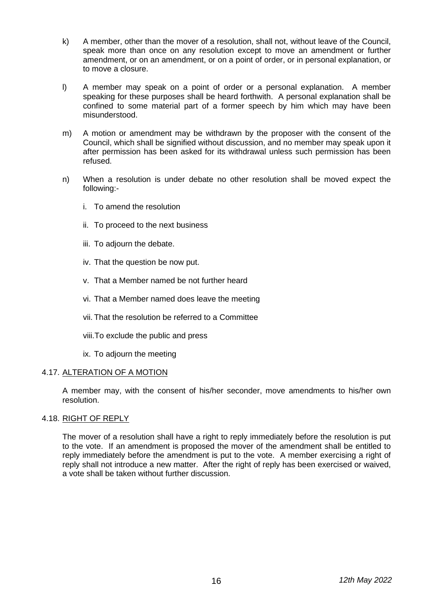- k) A member, other than the mover of a resolution, shall not, without leave of the Council, speak more than once on any resolution except to move an amendment or further amendment, or on an amendment, or on a point of order, or in personal explanation, or to move a closure.
- l) A member may speak on a point of order or a personal explanation. A member speaking for these purposes shall be heard forthwith. A personal explanation shall be confined to some material part of a former speech by him which may have been misunderstood.
- m) A motion or amendment may be withdrawn by the proposer with the consent of the Council, which shall be signified without discussion, and no member may speak upon it after permission has been asked for its withdrawal unless such permission has been refused.
- n) When a resolution is under debate no other resolution shall be moved expect the following:
	- i. To amend the resolution
	- ii. To proceed to the next business
	- iii. To adjourn the debate.
	- iv. That the question be now put.
	- v. That a Member named be not further heard
	- vi. That a Member named does leave the meeting
	- vii. That the resolution be referred to a Committee
	- viii.To exclude the public and press
	- ix. To adjourn the meeting

#### 4.17. ALTERATION OF A MOTION

A member may, with the consent of his/her seconder, move amendments to his/her own resolution.

#### 4.18. RIGHT OF REPLY

The mover of a resolution shall have a right to reply immediately before the resolution is put to the vote. If an amendment is proposed the mover of the amendment shall be entitled to reply immediately before the amendment is put to the vote. A member exercising a right of reply shall not introduce a new matter. After the right of reply has been exercised or waived, a vote shall be taken without further discussion.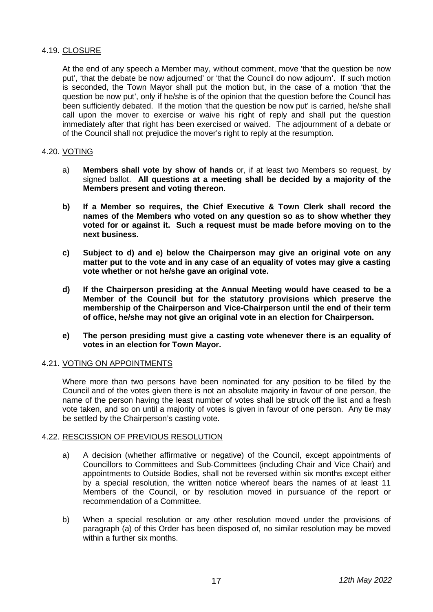#### 4.19. CLOSURE

At the end of any speech a Member may, without comment, move 'that the question be now put', 'that the debate be now adjourned' or 'that the Council do now adjourn'. If such motion is seconded, the Town Mayor shall put the motion but, in the case of a motion 'that the question be now put', only if he/she is of the opinion that the question before the Council has been sufficiently debated. If the motion 'that the question be now put' is carried, he/she shall call upon the mover to exercise or waive his right of reply and shall put the question immediately after that right has been exercised or waived. The adjournment of a debate or of the Council shall not prejudice the mover's right to reply at the resumption.

#### 4.20. VOTING

- a) **Members shall vote by show of hands** or, if at least two Members so request, by signed ballot. **All questions at a meeting shall be decided by a majority of the Members present and voting thereon.**
- **b) If a Member so requires, the Chief Executive & Town Clerk shall record the names of the Members who voted on any question so as to show whether they voted for or against it. Such a request must be made before moving on to the next business.**
- **c) Subject to d) and e) below the Chairperson may give an original vote on any matter put to the vote and in any case of an equality of votes may give a casting vote whether or not he/she gave an original vote.**
- **d) If the Chairperson presiding at the Annual Meeting would have ceased to be a Member of the Council but for the statutory provisions which preserve the membership of the Chairperson and Vice-Chairperson until the end of their term of office, he/she may not give an original vote in an election for Chairperson.**
- **e) The person presiding must give a casting vote whenever there is an equality of votes in an election for Town Mayor.**

#### 4.21. VOTING ON APPOINTMENTS

Where more than two persons have been nominated for any position to be filled by the Council and of the votes given there is not an absolute majority in favour of one person, the name of the person having the least number of votes shall be struck off the list and a fresh vote taken, and so on until a majority of votes is given in favour of one person. Any tie may be settled by the Chairperson's casting vote.

#### 4.22. RESCISSION OF PREVIOUS RESOLUTION

- a) A decision (whether affirmative or negative) of the Council, except appointments of Councillors to Committees and Sub-Committees (including Chair and Vice Chair) and appointments to Outside Bodies, shall not be reversed within six months except either by a special resolution, the written notice whereof bears the names of at least 11 Members of the Council, or by resolution moved in pursuance of the report or recommendation of a Committee.
- b) When a special resolution or any other resolution moved under the provisions of paragraph (a) of this Order has been disposed of, no similar resolution may be moved within a further six months.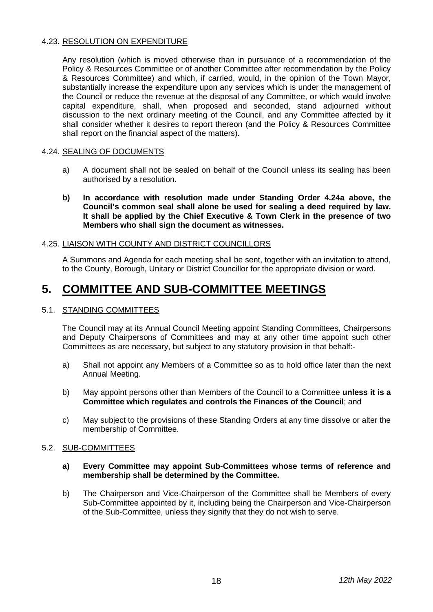#### 4.23. RESOLUTION ON EXPENDITURE

Any resolution (which is moved otherwise than in pursuance of a recommendation of the Policy & Resources Committee or of another Committee after recommendation by the Policy & Resources Committee) and which, if carried, would, in the opinion of the Town Mayor, substantially increase the expenditure upon any services which is under the management of the Council or reduce the revenue at the disposal of any Committee, or which would involve capital expenditure, shall, when proposed and seconded, stand adjourned without discussion to the next ordinary meeting of the Council, and any Committee affected by it shall consider whether it desires to report thereon (and the Policy & Resources Committee shall report on the financial aspect of the matters).

#### 4.24. SEALING OF DOCUMENTS

- a) A document shall not be sealed on behalf of the Council unless its sealing has been authorised by a resolution.
- **b) In accordance with resolution made under Standing Order 4.24a above, the Council's common seal shall alone be used for sealing a deed required by law. It shall be applied by the Chief Executive & Town Clerk in the presence of two Members who shall sign the document as witnesses.**

#### 4.25. LIAISON WITH COUNTY AND DISTRICT COUNCILLORS

A Summons and Agenda for each meeting shall be sent, together with an invitation to attend, to the County, Borough, Unitary or District Councillor for the appropriate division or ward.

### **5. COMMITTEE AND SUB-COMMITTEE MEETINGS**

#### 5.1. STANDING COMMITTEES

The Council may at its Annual Council Meeting appoint Standing Committees, Chairpersons and Deputy Chairpersons of Committees and may at any other time appoint such other Committees as are necessary, but subject to any statutory provision in that behalf:-

- a) Shall not appoint any Members of a Committee so as to hold office later than the next Annual Meeting.
- b) May appoint persons other than Members of the Council to a Committee **unless it is a Committee which regulates and controls the Finances of the Council**; and
- c) May subject to the provisions of these Standing Orders at any time dissolve or alter the membership of Committee.

#### 5.2. SUB-COMMITTEES

- **a) Every Committee may appoint Sub-Committees whose terms of reference and membership shall be determined by the Committee.**
- b) The Chairperson and Vice-Chairperson of the Committee shall be Members of every Sub-Committee appointed by it, including being the Chairperson and Vice-Chairperson of the Sub-Committee, unless they signify that they do not wish to serve.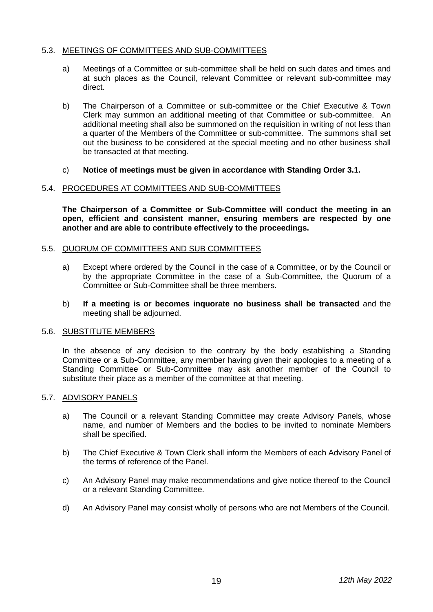#### 5.3. MEETINGS OF COMMITTEES AND SUB-COMMITTEES

- a) Meetings of a Committee or sub-committee shall be held on such dates and times and at such places as the Council, relevant Committee or relevant sub-committee may direct.
- b) The Chairperson of a Committee or sub-committee or the Chief Executive & Town Clerk may summon an additional meeting of that Committee or sub-committee. An additional meeting shall also be summoned on the requisition in writing of not less than a quarter of the Members of the Committee or sub-committee. The summons shall set out the business to be considered at the special meeting and no other business shall be transacted at that meeting.
- c) **Notice of meetings must be given in accordance with Standing Order 3.1.**

#### 5.4. PROCEDURES AT COMMITTEES AND SUB-COMMITTEES

**The Chairperson of a Committee or Sub-Committee will conduct the meeting in an open, efficient and consistent manner, ensuring members are respected by one another and are able to contribute effectively to the proceedings.** 

#### 5.5. QUORUM OF COMMITTEES AND SUB COMMITTEES

- a) Except where ordered by the Council in the case of a Committee, or by the Council or by the appropriate Committee in the case of a Sub-Committee, the Quorum of a Committee or Sub-Committee shall be three members.
- b) **If a meeting is or becomes inquorate no business shall be transacted** and the meeting shall be adjourned.

#### 5.6. SUBSTITUTE MEMBERS

In the absence of any decision to the contrary by the body establishing a Standing Committee or a Sub-Committee, any member having given their apologies to a meeting of a Standing Committee or Sub-Committee may ask another member of the Council to substitute their place as a member of the committee at that meeting.

#### 5.7. ADVISORY PANELS

- a) The Council or a relevant Standing Committee may create Advisory Panels, whose name, and number of Members and the bodies to be invited to nominate Members shall be specified.
- b) The Chief Executive & Town Clerk shall inform the Members of each Advisory Panel of the terms of reference of the Panel.
- c) An Advisory Panel may make recommendations and give notice thereof to the Council or a relevant Standing Committee.
- d) An Advisory Panel may consist wholly of persons who are not Members of the Council.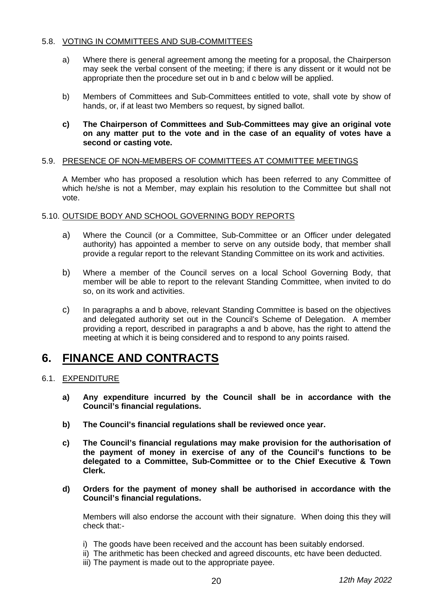#### 5.8. VOTING IN COMMITTEES AND SUB-COMMITTEES

- a) Where there is general agreement among the meeting for a proposal, the Chairperson may seek the verbal consent of the meeting; if there is any dissent or it would not be appropriate then the procedure set out in b and c below will be applied.
- b) Members of Committees and Sub-Committees entitled to vote, shall vote by show of hands, or, if at least two Members so request, by signed ballot.
- **c) The Chairperson of Committees and Sub-Committees may give an original vote on any matter put to the vote and in the case of an equality of votes have a second or casting vote.**

#### 5.9. PRESENCE OF NON-MEMBERS OF COMMITTEES AT COMMITTEE MEETINGS

A Member who has proposed a resolution which has been referred to any Committee of which he/she is not a Member, may explain his resolution to the Committee but shall not vote.

#### 5.10. OUTSIDE BODY AND SCHOOL GOVERNING BODY REPORTS

- a) Where the Council (or a Committee, Sub-Committee or an Officer under delegated authority) has appointed a member to serve on any outside body, that member shall provide a regular report to the relevant Standing Committee on its work and activities.
- b) Where a member of the Council serves on a local School Governing Body, that member will be able to report to the relevant Standing Committee, when invited to do so, on its work and activities.
- c) In paragraphs a and b above, relevant Standing Committee is based on the objectives and delegated authority set out in the Council's Scheme of Delegation. A member providing a report, described in paragraphs a and b above, has the right to attend the meeting at which it is being considered and to respond to any points raised.

### **6. FINANCE AND CONTRACTS**

#### 6.1. EXPENDITURE

- **a) Any expenditure incurred by the Council shall be in accordance with the Council's financial regulations.**
- **b) The Council's financial regulations shall be reviewed once year.**
- **c) The Council's financial regulations may make provision for the authorisation of the payment of money in exercise of any of the Council's functions to be delegated to a Committee, Sub-Committee or to the Chief Executive & Town Clerk.**
- **d) Orders for the payment of money shall be authorised in accordance with the Council's financial regulations.**

Members will also endorse the account with their signature. When doing this they will check that:-

- i) The goods have been received and the account has been suitably endorsed.
- ii) The arithmetic has been checked and agreed discounts, etc have been deducted.
- iii) The payment is made out to the appropriate payee.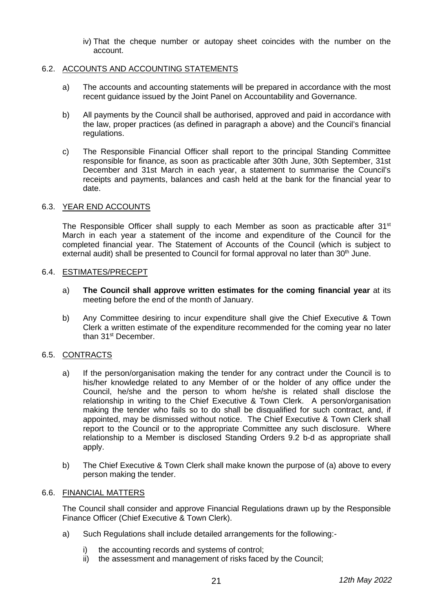iv) That the cheque number or autopay sheet coincides with the number on the account.

#### 6.2. ACCOUNTS AND ACCOUNTING STATEMENTS

- a) The accounts and accounting statements will be prepared in accordance with the most recent guidance issued by the Joint Panel on Accountability and Governance.
- b) All payments by the Council shall be authorised, approved and paid in accordance with the law, proper practices (as defined in paragraph a above) and the Council's financial regulations.
- c) The Responsible Financial Officer shall report to the principal Standing Committee responsible for finance, as soon as practicable after 30th June, 30th September, 31st December and 31st March in each year, a statement to summarise the Council's receipts and payments, balances and cash held at the bank for the financial year to date.

#### 6.3. YEAR END ACCOUNTS

The Responsible Officer shall supply to each Member as soon as practicable after  $31<sup>st</sup>$ March in each year a statement of the income and expenditure of the Council for the completed financial year. The Statement of Accounts of the Council (which is subject to external audit) shall be presented to Council for formal approval no later than 30<sup>th</sup> June.

#### 6.4. ESTIMATES/PRECEPT

- a) **The Council shall approve written estimates for the coming financial year** at its meeting before the end of the month of January.
- b) Any Committee desiring to incur expenditure shall give the Chief Executive & Town Clerk a written estimate of the expenditure recommended for the coming year no later than 31<sup>st</sup> December.

#### 6.5. CONTRACTS

- a) If the person/organisation making the tender for any contract under the Council is to his/her knowledge related to any Member of or the holder of any office under the Council, he/she and the person to whom he/she is related shall disclose the relationship in writing to the Chief Executive & Town Clerk. A person/organisation making the tender who fails so to do shall be disqualified for such contract, and, if appointed, may be dismissed without notice. The Chief Executive & Town Clerk shall report to the Council or to the appropriate Committee any such disclosure. Where relationship to a Member is disclosed Standing Orders 9.2 b-d as appropriate shall apply.
- b) The Chief Executive & Town Clerk shall make known the purpose of (a) above to every person making the tender.

#### 6.6. FINANCIAL MATTERS

The Council shall consider and approve Financial Regulations drawn up by the Responsible Finance Officer (Chief Executive & Town Clerk).

- a) Such Regulations shall include detailed arrangements for the following:
	- i) the accounting records and systems of control;
	- ii) the assessment and management of risks faced by the Council;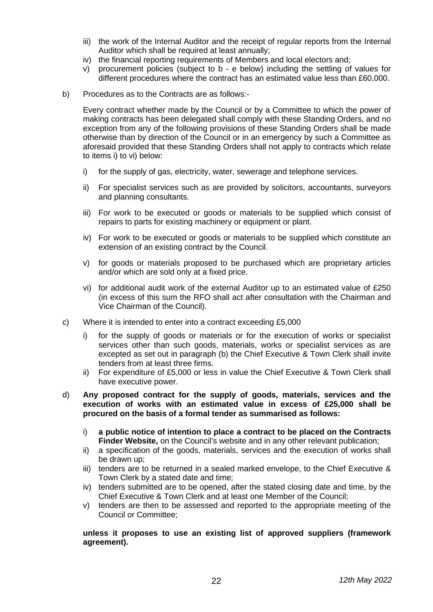- iii) the work of the Internal Auditor and the receipt of regular reports from the Internal Auditor which shall be required at least annually;
- iv) the financial reporting requirements of Members and local electors and;
- v) procurement policies (subject to b e below) including the settling of values for different procedures where the contract has an estimated value less than £60,000.
- b) Procedures as to the Contracts are as follows:-

Every contract whether made by the Council or by a Committee to which the power of making contracts has been delegated shall comply with these Standing Orders, and no exception from any of the following provisions of these Standing Orders shall be made otherwise than by direction of the Council or in an emergency by such a Committee as aforesaid provided that these Standing Orders shall not apply to contracts which relate to items i) to vi) below:

- i) for the supply of gas, electricity, water, sewerage and telephone services.
- ii) For specialist services such as are provided by solicitors, accountants, surveyors and planning consultants.
- iii) For work to be executed or goods or materials to be supplied which consist of repairs to parts for existing machinery or equipment or plant.
- iv) For work to be executed or goods or materials to be supplied which constitute an extension of an existing contract by the Council.
- v) for goods or materials proposed to be purchased which are proprietary articles and/or which are sold only at a fixed price.
- vi) for additional audit work of the external Auditor up to an estimated value of £250 (in excess of this sum the RFO shall act after consultation with the Chairman and Vice Chairman of the Council).
- c) Where it is intended to enter into a contract exceeding £5,000
	- i) for the supply of goods or materials or for the execution of works or specialist services other than such goods, materials, works or specialist services as are excepted as set out in paragraph (b) the Chief Executive & Town Clerk shall invite tenders from at least three firms.
	- ii) For expenditure of £5,000 or less in value the Chief Executive & Town Clerk shall have executive power.
- d) **Any proposed contract for the supply of goods, materials, services and the execution of works with an estimated value in excess of £25,000 shall be procured on the basis of a formal tender as summarised as follows:**
	- i) **a public notice of intention to place a contract to be placed on the Contracts Finder Website,** on the Council's website and in any other relevant publication;
	- ii) a specification of the goods, materials, services and the execution of works shall be drawn up;
	- iii) tenders are to be returned in a sealed marked envelope, to the Chief Executive & Town Clerk by a stated date and time;
	- iv) tenders submitted are to be opened, after the stated closing date and time, by the Chief Executive & Town Clerk and at least one Member of the Council;
	- v) tenders are then to be assessed and reported to the appropriate meeting of the Council or Committee;

#### **unless it proposes to use an existing list of approved suppliers (framework agreement).**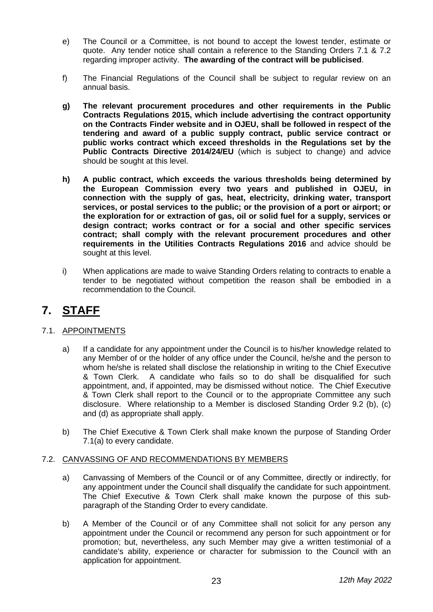- e) The Council or a Committee, is not bound to accept the lowest tender, estimate or quote. Any tender notice shall contain a reference to the Standing Orders 7.1 & 7.2 regarding improper activity. **The awarding of the contract will be publicised**.
- f) The Financial Regulations of the Council shall be subject to regular review on an annual basis.
- **g) The relevant procurement procedures and other requirements in the Public Contracts Regulations 2015, which include advertising the contract opportunity on the Contracts Finder website and in OJEU, shall be followed in respect of the tendering and award of a public supply contract, public service contract or public works contract which exceed thresholds in the Regulations set by the Public Contracts Directive 2014/24/EU** (which is subject to change) and advice should be sought at this level.
- **h) A public contract, which exceeds the various thresholds being determined by the European Commission every two years and published in OJEU, in connection with the supply of gas, heat, electricity, drinking water, transport services, or postal services to the public; or the provision of a port or airport; or the exploration for or extraction of gas, oil or solid fuel for a supply, services or design contract; works contract or for a social and other specific services contract; shall comply with the relevant procurement procedures and other requirements in the Utilities Contracts Regulations 2016** and advice should be sought at this level.
- i) When applications are made to waive Standing Orders relating to contracts to enable a tender to be negotiated without competition the reason shall be embodied in a recommendation to the Council.

# **7. STAFF**

#### 7.1. APPOINTMENTS

- a) If a candidate for any appointment under the Council is to his/her knowledge related to any Member of or the holder of any office under the Council, he/she and the person to whom he/she is related shall disclose the relationship in writing to the Chief Executive & Town Clerk. A candidate who fails so to do shall be disqualified for such appointment, and, if appointed, may be dismissed without notice. The Chief Executive & Town Clerk shall report to the Council or to the appropriate Committee any such disclosure. Where relationship to a Member is disclosed Standing Order 9.2 (b), (c) and (d) as appropriate shall apply.
- b) The Chief Executive & Town Clerk shall make known the purpose of Standing Order 7.1(a) to every candidate.

#### 7.2. CANVASSING OF AND RECOMMENDATIONS BY MEMBERS

- a) Canvassing of Members of the Council or of any Committee, directly or indirectly, for any appointment under the Council shall disqualify the candidate for such appointment. The Chief Executive & Town Clerk shall make known the purpose of this subparagraph of the Standing Order to every candidate.
- b) A Member of the Council or of any Committee shall not solicit for any person any appointment under the Council or recommend any person for such appointment or for promotion; but, nevertheless, any such Member may give a written testimonial of a candidate's ability, experience or character for submission to the Council with an application for appointment.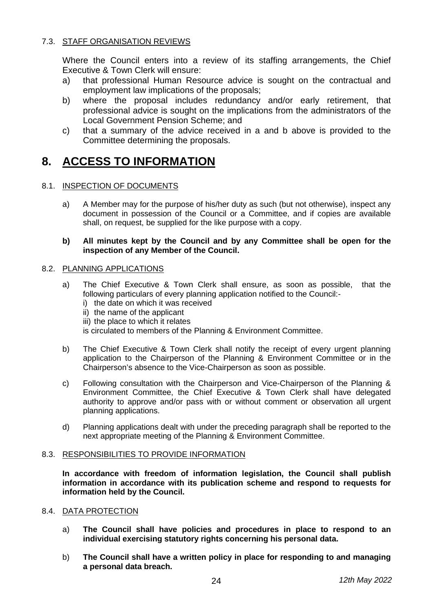#### 7.3. STAFF ORGANISATION REVIEWS

Where the Council enters into a review of its staffing arrangements, the Chief Executive & Town Clerk will ensure:

- a) that professional Human Resource advice is sought on the contractual and employment law implications of the proposals;
- b) where the proposal includes redundancy and/or early retirement, that professional advice is sought on the implications from the administrators of the Local Government Pension Scheme; and
- c) that a summary of the advice received in a and b above is provided to the Committee determining the proposals.

## **8. ACCESS TO INFORMATION**

#### 8.1. INSPECTION OF DOCUMENTS

a) A Member may for the purpose of his/her duty as such (but not otherwise), inspect any document in possession of the Council or a Committee, and if copies are available shall, on request, be supplied for the like purpose with a copy.

#### **b) All minutes kept by the Council and by any Committee shall be open for the inspection of any Member of the Council.**

#### 8.2. PLANNING APPLICATIONS

- a) The Chief Executive & Town Clerk shall ensure, as soon as possible, that the following particulars of every planning application notified to the Council:
	- i) the date on which it was received
	- ii) the name of the applicant
	- iii) the place to which it relates

is circulated to members of the Planning & Environment Committee.

- b) The Chief Executive & Town Clerk shall notify the receipt of every urgent planning application to the Chairperson of the Planning & Environment Committee or in the Chairperson's absence to the Vice-Chairperson as soon as possible.
- c) Following consultation with the Chairperson and Vice-Chairperson of the Planning & Environment Committee, the Chief Executive & Town Clerk shall have delegated authority to approve and/or pass with or without comment or observation all urgent planning applications.
- d) Planning applications dealt with under the preceding paragraph shall be reported to the next appropriate meeting of the Planning & Environment Committee.

#### 8.3. RESPONSIBILITIES TO PROVIDE INFORMATION

**In accordance with freedom of information legislation, the Council shall publish information in accordance with its publication scheme and respond to requests for information held by the Council.** 

#### 8.4. DATA PROTECTION

- a) **The Council shall have policies and procedures in place to respond to an individual exercising statutory rights concerning his personal data.**
- b) **The Council shall have a written policy in place for responding to and managing a personal data breach.**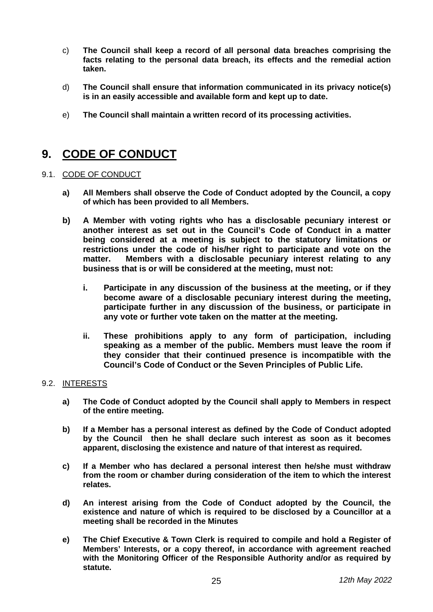- c) **The Council shall keep a record of all personal data breaches comprising the facts relating to the personal data breach, its effects and the remedial action taken.**
- d) **The Council shall ensure that information communicated in its privacy notice(s) is in an easily accessible and available form and kept up to date.**
- e) **The Council shall maintain a written record of its processing activities.**

# **9. CODE OF CONDUCT**

#### 9.1. CODE OF CONDUCT

- **a) All Members shall observe the Code of Conduct adopted by the Council, a copy of which has been provided to all Members.**
- **b) A Member with voting rights who has a disclosable pecuniary interest or another interest as set out in the Council's Code of Conduct in a matter being considered at a meeting is subject to the statutory limitations or restrictions under the code of his/her right to participate and vote on the Members with a disclosable pecuniary interest relating to any business that is or will be considered at the meeting, must not:**
	- **i. Participate in any discussion of the business at the meeting, or if they become aware of a disclosable pecuniary interest during the meeting, participate further in any discussion of the business, or participate in any vote or further vote taken on the matter at the meeting.**
	- **ii. These prohibitions apply to any form of participation, including speaking as a member of the public. Members must leave the room if they consider that their continued presence is incompatible with the Council's Code of Conduct or the Seven Principles of Public Life.**

#### 9.2. INTERESTS

- **a) The Code of Conduct adopted by the Council shall apply to Members in respect of the entire meeting.**
- **b) If a Member has a personal interest as defined by the Code of Conduct adopted by the Council then he shall declare such interest as soon as it becomes apparent, disclosing the existence and nature of that interest as required.**
- **c) If a Member who has declared a personal interest then he/she must withdraw from the room or chamber during consideration of the item to which the interest relates.**
- **d) An interest arising from the Code of Conduct adopted by the Council, the existence and nature of which is required to be disclosed by a Councillor at a meeting shall be recorded in the Minutes**
- **e) The Chief Executive & Town Clerk is required to compile and hold a Register of Members' Interests, or a copy thereof, in accordance with agreement reached with the Monitoring Officer of the Responsible Authority and/or as required by statute.**